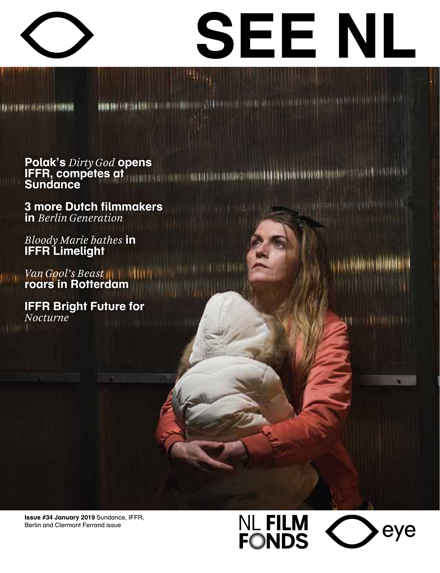



- Собрать в сесть заказание пользуются в так.

arahun munisip

**Quine Continues and** 

**BEFORE HAVE HAVE THE TOP OF THE SE** 

## **DOMESTIC CONSTITUTION OF PRODUCTIVE (SAFETHER IN A DISTURBATION OF A DISTURBATION OF PROPERTY AND CONSTITUTION**

1 1 1 1 1 1 1 1 1 1

**Polak's Dirty God opens IFFR, competes at the communication of the communication of the communication of the communication of the communication of the communication of the communication of the communication of the communication of the communicat Sundance** 

**3 more Dutch filmmakers in** Berlin Generation

Bloody Marie bathes in **IFFR** Limelight

**Van Gool's Beast**<br>**roars in Rotterdam** 

**IFFR Bright Future for** Nocturne<sup>'</sup>

Issue #34 January 2019 Sundance, IFFR, Berlin and Clermont Ferrand issue

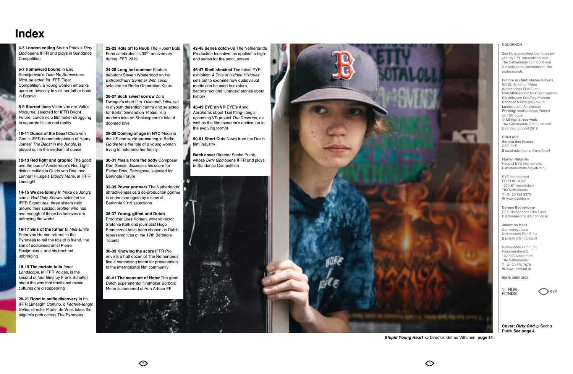### Index

4-5 London calling Sacha Polak's Dirty God opens IFFR and plays in Sundance Competition

6-7 Homeward bound In Eng Sendijarevic's Take Me Somewhere Nice, selected for IFFR Tiger Competition, a young woman embarks upon an odyssey to visit her father back in Bosnia

8-9 Blurred lines Viktor van der Valk's Nocturne, selected for IFFR Bright Future, concerns a filmmaker struggling to separate fiction and reality

10-11 Dance of the beast Clara van Gool's IFFR-bound adaptation of Henry James' The Beast in the Junale, is played out in the medium of dance

12-13 Red light and graphic The good and the bad of Amsterdam's Red Liaht district collide in Guido van Driel and Lennert Hillege's Bloody Marie, in IFFR Limeliaht

14-15 We are family In Mijke de Jong's comic God Only Knows, selected for **IFFR Signatures, three sisters rally** around their suicidal brother who has had enough of those he believes are betraying the world

16-17 Sins of the fother In Miel-Fmile Peter van Houten returns to the Pyrenees to tell the tale of a friend, the son of acclaimed artist Pierre Raaijmakers, and his troubled upbringing

18-19 The curtain falls Inner Landscape, in IFFR Voices, is the second of four films by Frank Scheffer about the way that traditional music cultures are disappearing

20-21 Road to selfie discovery In his IFFR Limelight Camino, a Feature-length Selfie, director Martin de Vries takes the pilarim's path across The Pyrenees

22-23 Hats off to Huub The Hubert Bals Fund celebrates its 30th anniversary during IFFR 2019

24-25 Long hot summer Feature debutant Steven Wouterlood on My **Extraordinary Summer With Tess.** selected for Berlin Generation Kplus

26-27 Such sweet sorrow Zara Dwinger's short film Yulia and Juliet, set in a youth detention centre and selected for Berlin Generation 14plus, is a modern take on Shakespeare's tale of doomed love

28-29 Coming of gae in NYC Made in the US and world-premiering in Berlin, Goldie tells the tale of a young woman trying to hold onto her family

30-31 Music from the body Composer Dan Geesin discusses his score for Esther Rots' Retrospekt, selected for **Berlingle Forum** 

32-35 Power partners The Netherlands' attractiveness as a co-production partner is underlined again by a slew of Berlinale 2019 selections

36-37 Young, gifted and Dutch Producer Loes Komen, writer/director Stefanie Kolk and journalist Hugo Emmerzael have been chosen as Dutch representatives at the 17th Berlinale Talents

38-39 Knowing the score IFFR Pro unveils a half dozen of The Netherlands' finest composing talent for presentation to the international film community

40-41 The measure of Meter The great Dutch experimental filmmaker Barbara Meter is honoured at Ann Arbour FF

42-45 Series catch-up The Netherlands Production Incentive, as applied to highend series for the small screen

46-47 Shell shocked The latest EYE exhibition A Tale of Hidden Histories sets out to examine how audiovisual media can be used to explore. deconstruct and 'unmask' stories about history

48-49 EYE on VR EYE's Anna Abrahams about Tsai Mina-liana's upcoming VR project The Deserted, as well as the film museum's dedication to the evolving format

50-51 Short Cuts News from the Dutch film industry

Back cover Director Sacha Polak, whose Dirty God opens IFFR and plays in Sundance Competition



#### COLOPHON

See NL is published four times per year by EYE International and -<br>The Netherlands Film Fund and is distributed to international film nrofessionals

Editors in chief: Marten Rabarts. (EYE), Jonathan Mees (Netherlands Film Fund) Executive editor: Nick Cunningham Contributor: Geoffrey Macnab Concept & Design: Lava.nl Lavout: def., Amsterdam Printing: medial igison Printed on FSC paper © All rights reserved: The Netherlands Film Fund and EYE International 2019

CONTACT Sandra den Hamer CEO EYE E sandradenhamer@evefilm.nl

Marten Raharte Head of EYE International E martenrabarts@eyefilm.nl

**EYE** International PO BOX 74782 1070 BT Amsterdam The Netherlands T+31 20 758 2375 W www.evefilm.nl

Doreen Boonekamp CEO Netherlands Film Fund  $F$  d boonekamp@filmfonds nl

Jonathan Mees Communications Netherlands Film Fund E i.mees@filmfonds.nl

Netherlands Film Fund Pijnackerstraat 5 1072 JS Amsterdam The Netherlands T+31 20 570 7676 W www filmfund nl

ISSN: 2589-3521

**NL FILM**<br>FONDS

Cover: Dirty God 
o Sacha Polak See page 4